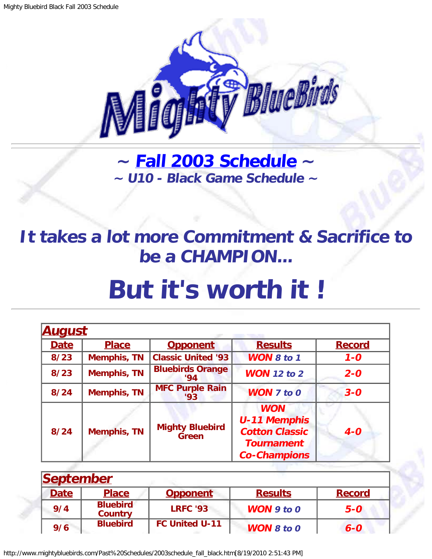

**~ [Fall 2003 Schedule](#page-0-0) ~ ~ U10 - Black Game Schedule ~**

## <span id="page-0-1"></span>**It takes a lot more Commitment & Sacrifice to be a CHAMPION...**

## **But it's worth it !**

<span id="page-0-0"></span>

| <b>August</b> |                    |                                        |                                                                                                        |               |  |
|---------------|--------------------|----------------------------------------|--------------------------------------------------------------------------------------------------------|---------------|--|
| <b>Date</b>   | <b>Place</b>       | <b>Opponent</b>                        | <b>Results</b>                                                                                         | <b>Record</b> |  |
| 8/23          | <b>Memphis, TN</b> | <b>Classic United '93</b>              | <b>WON 8 to 1</b>                                                                                      | $1 - 0$       |  |
| 8/23          | <b>Memphis, TN</b> | <b>Bluebirds Orange</b><br>'94         | <b>WON</b> 12 to 2                                                                                     | $2 - 0$       |  |
| 8/24          | <b>Memphis, TN</b> | <b>MFC Purple Rain</b><br>'93          | <b>WON 7 to 0</b>                                                                                      | $3 - 0$       |  |
| 8/24          | <b>Memphis, TN</b> | <b>Mighty Bluebird</b><br><b>Green</b> | <b>WON</b><br><b>U-11 Memphis</b><br><b>Cotton Classic</b><br><b>Tournament</b><br><b>Co-Champions</b> | $4-0$         |  |

| <b>September</b> |                                   |                       |                       |               |
|------------------|-----------------------------------|-----------------------|-----------------------|---------------|
| <b>Date</b>      | <b>Place</b>                      | <b>Opponent</b>       | <b>Results</b>        | <b>Record</b> |
| 9/4              | <b>Bluebird</b><br><b>Country</b> | <b>LRFC '93</b>       | <b>WON</b> $9$ to $0$ | $5-0$         |
| 9/6              | <b>Bluebird</b>                   | <b>FC United U-11</b> | <b>WON</b> 8 to 0     | $6 - 0$       |

http://www.mightybluebirds.com/Past%20Schedules/2003schedule\_fall\_black.htm[8/19/2010 2:51:43 PM]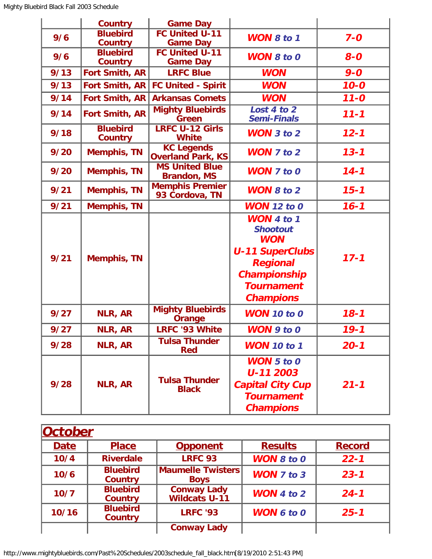|      | <b>Country</b>                    | <b>Game Day</b>                               |                                                                                                        |          |
|------|-----------------------------------|-----------------------------------------------|--------------------------------------------------------------------------------------------------------|----------|
| 9/6  | <b>Bluebird</b><br><b>Country</b> | <b>FC United U-11</b><br><b>Game Day</b>      | <b>WON</b> $8$ to $1$                                                                                  | $7 - 0$  |
| 9/6  | <b>Bluebird</b><br><b>Country</b> | <b>FC United U-11</b><br><b>Game Day</b>      | <b>WON 8 to 0</b>                                                                                      | $8-0$    |
| 9/13 | <b>Fort Smith, AR</b>             | <b>LRFC Blue</b>                              | <b>WON</b>                                                                                             | $9 - 0$  |
| 9/13 | Fort Smith, AR                    | <b>FC United - Spirit</b>                     | <b>WON</b>                                                                                             | $10 - 0$ |
| 9/14 | Fort Smith, AR                    | <b>Arkansas Comets</b>                        | <b>WON</b>                                                                                             | $11 - 0$ |
| 9/14 | Fort Smith, AR                    | <b>Mighty Bluebirds</b><br><b>Green</b>       | Lost 4 to 2<br><b>Semi-Finals</b>                                                                      | $11 - 1$ |
| 9/18 | <b>Bluebird</b><br><b>Country</b> | <b>LRFC U-12 Girls</b><br><b>White</b>        | <b>WON</b> 3 to 2                                                                                      | $12 - 1$ |
| 9/20 | <b>Memphis, TN</b>                | <b>KC Legends</b><br><b>Overland Park, KS</b> | <b>WON</b> 7 to 2                                                                                      | $13 - 1$ |
| 9/20 | <b>Memphis, TN</b>                | <b>MS United Blue</b><br><b>Brandon, MS</b>   | <b>WON</b> 7 to 0                                                                                      | $14 - 1$ |
| 9/21 | <b>Memphis, TN</b>                | <b>Memphis Premier</b><br>93 Cordova, TN      | <b>WON 8 to 2</b>                                                                                      | $15 - 1$ |
| 9/21 | <b>Memphis, TN</b>                |                                               | <b>WON</b> 12 to 0                                                                                     | $16 - 1$ |
|      |                                   |                                               | WON 4 to 1<br><b>Shootout</b><br><b>WON</b>                                                            |          |
| 9/21 | <b>Memphis, TN</b>                |                                               | <b>U-11 SuperClubs</b><br><b>Regional</b><br>Championship<br><b>Tournament</b><br><b>Champions</b>     | $17 - 1$ |
| 9/27 | <b>NLR, AR</b>                    | <b>Mighty Bluebirds</b><br><b>Orange</b>      | <b>WON</b> 10 to 0                                                                                     | $18 - 1$ |
| 9/27 | NLR, AR                           | <b>LRFC '93 White</b>                         | $WON$ 9 to 0                                                                                           | $19 - 1$ |
| 9/28 | NLR, AR                           | <b>Tulsa Thunder</b><br><b>Red</b>            | <b>WON</b> 10 to 1                                                                                     | $20 - 1$ |
| 9/28 | <b>NLR, AR</b>                    | <b>Tulsa Thunder</b><br><b>Black</b>          | <b>WON</b> $5$ to $0$<br>U-11 2003<br><b>Capital City Cup</b><br><b>Tournament</b><br><b>Champions</b> | $21 - 1$ |

| <b>October</b> |                                   |                                            |                       |               |
|----------------|-----------------------------------|--------------------------------------------|-----------------------|---------------|
| <b>Date</b>    | <b>Place</b>                      | <b>Opponent</b>                            | <b>Results</b>        | <b>Record</b> |
| 10/4           | <b>Riverdale</b>                  | <b>LRFC 93</b>                             | <b>WON 8 to 0</b>     | $22 - 1$      |
| 10/6           | <b>Bluebird</b><br><b>Country</b> | Maumelle Twisters<br><b>Boys</b>           | <b>WON</b> $7$ to $3$ | $23 - 1$      |
| 10/7           | <b>Bluebird</b><br><b>Country</b> | <b>Conway Lady</b><br><b>Wildcats U-11</b> | <b>WON</b> 4 to $2$   | $24 - 1$      |
| 10/16          | <b>Bluebird</b><br><b>Country</b> | <b>LRFC '93</b>                            | <b>WON 6 to 0</b>     | $25 - 1$      |
|                |                                   | <b>Conway Lady</b>                         |                       |               |

http://www.mightybluebirds.com/Past%20Schedules/2003schedule\_fall\_black.htm[8/19/2010 2:51:43 PM]